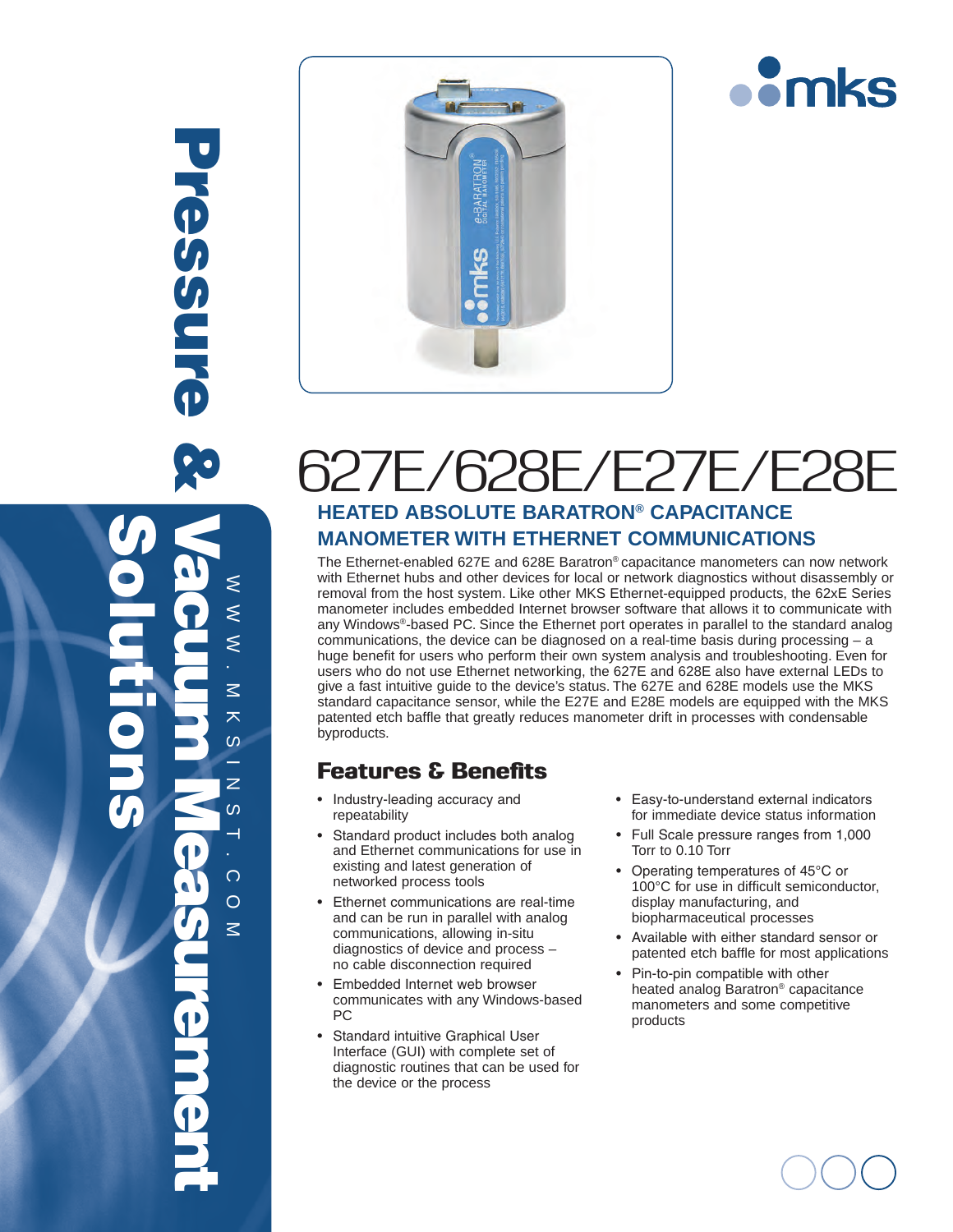





## 627E/628E/E27E/E28E **HEATED ABSOLUTE BARATRON® CAPACITANCE Manometer with Ethernet Communications**

The Ethernet-enabled 627E and 628E Baratron® capacitance manometers can now network with Ethernet hubs and other devices for local or network diagnostics without disassembly or removal from the host system. Like other MKS Ethernet-equipped products, the 62xE Series manometer includes embedded Internet browser software that allows it to communicate with any Windows®-based PC. Since the Ethernet port operates in parallel to the standard analog communications, the device can be diagnosed on a real-time basis during processing  $- a$ huge benefit for users who perform their own system analysis and troubleshooting. Even for users who do not use Ethernet networking, the 627E and 628E also have external LEDs to give a fast intuitive guide to the device's status. The 627E and 628E models use the MKS standard capacitance sensor, while the E27E and E28E models are equipped with the MKS patented etch baffle that greatly reduces manometer drift in processes with condensable byproducts.

### Features & Benefits

- Industry-leading accuracy and repeatability
- Standard product includes both analog and Ethernet communications for use in existing and latest generation of networked process tools
- • Ethernet communications are real-time and can be run in parallel with analog communications, allowing in-situ diagnostics of device and process – no cable disconnection required
- • Embedded Internet web browser communicates with any Windows-based PC
- • Standard intuitive Graphical User Interface (GUI) with complete set of diagnostic routines that can be used for the device or the process
- • Easy-to-understand external indicators for immediate device status information
- • Full Scale pressure ranges from 1,000 Torr to 0.10 Torr
- Operating temperatures of 45°C or 100°C for use in difficult semiconductor, display manufacturing, and biopharmaceutical processes
- • Available with either standard sensor or patented etch baffle for most applications
- Pin-to-pin compatible with other heated analog Baratron® capacitance manometers and some competitive products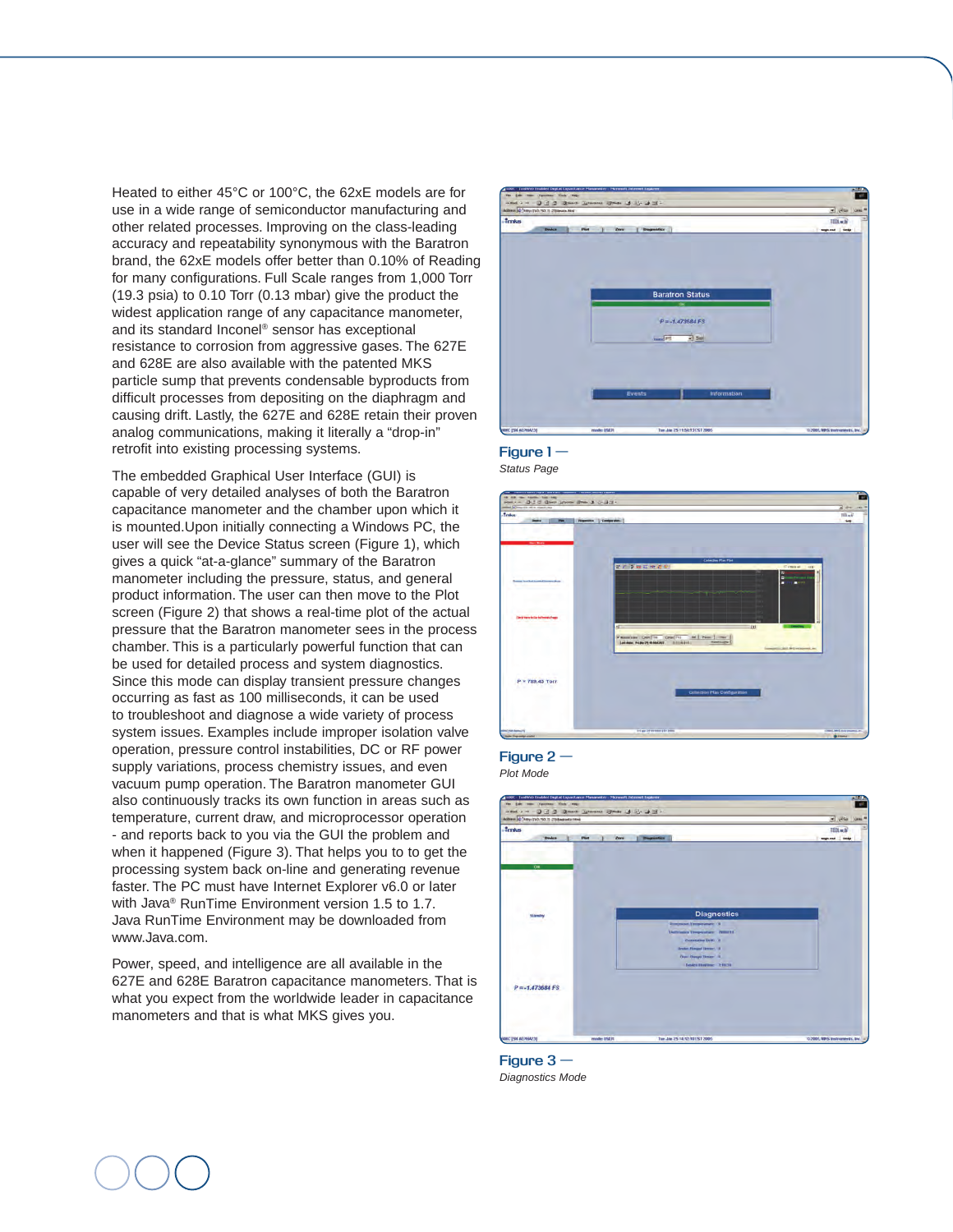Heated to either 45°C or 100°C, the 62xE models are for use in a wide range of semiconductor manufacturing and other related processes. Improving on the class-leading accuracy and repeatability synonymous with the Baratron brand, the 62xE models offer better than 0.10% of Reading for many configurations. Full Scale ranges from 1,000 Torr (19.3 psia) to 0.10 Torr (0.13 mbar) give the product the widest application range of any capacitance manometer, and its standard Inconel® sensor has exceptional resistance to corrosion from aggressive gases. The 627E and 628E are also available with the patented MKS particle sump that prevents condensable byproducts from difficult processes from depositing on the diaphragm and causing drift. Lastly, the 627E and 628E retain their proven analog communications, making it literally a "drop-in" retrofit into existing processing systems.

The embedded Graphical User Interface (GUI) is capable of very detailed analyses of both the Baratron capacitance manometer and the chamber upon which it is mounted.Upon initially connecting a Windows PC, the user will see the Device Status screen (Figure 1), which gives a quick "at-a-glance" summary of the Baratron manometer including the pressure, status, and general product information. The user can then move to the Plot screen (Figure 2) that shows a real-time plot of the actual pressure that the Baratron manometer sees in the process chamber. This is a particularly powerful function that can be used for detailed process and system diagnostics. Since this mode can display transient pressure changes occurring as fast as 100 milliseconds, it can be used to troubleshoot and diagnose a wide variety of process system issues. Examples include improper isolation valve operation, pressure control instabilities, DC or RF power supply variations, process chemistry issues, and even vacuum pump operation. The Baratron manometer GUI also continuously tracks its own function in areas such as temperature, current draw, and microprocessor operation - and reports back to you via the GUI the problem and when it happened (Figure 3). That helps you to to get the processing system back on-line and generating revenue faster. The PC must have Internet Explorer v6.0 or later with Java® RunTime Environment version 1.5 to 1.7. Java RunTime Environment may be downloaded from www.Java.com.

Power, speed, and intelligence are all available in the 627E and 628E Baratron capacitance manometers. That is what you expect from the worldwide leader in capacitance manometers and that is what MKS gives you.









*Plot Mode*



**Figure 3 —**  *Diagnostics Mode*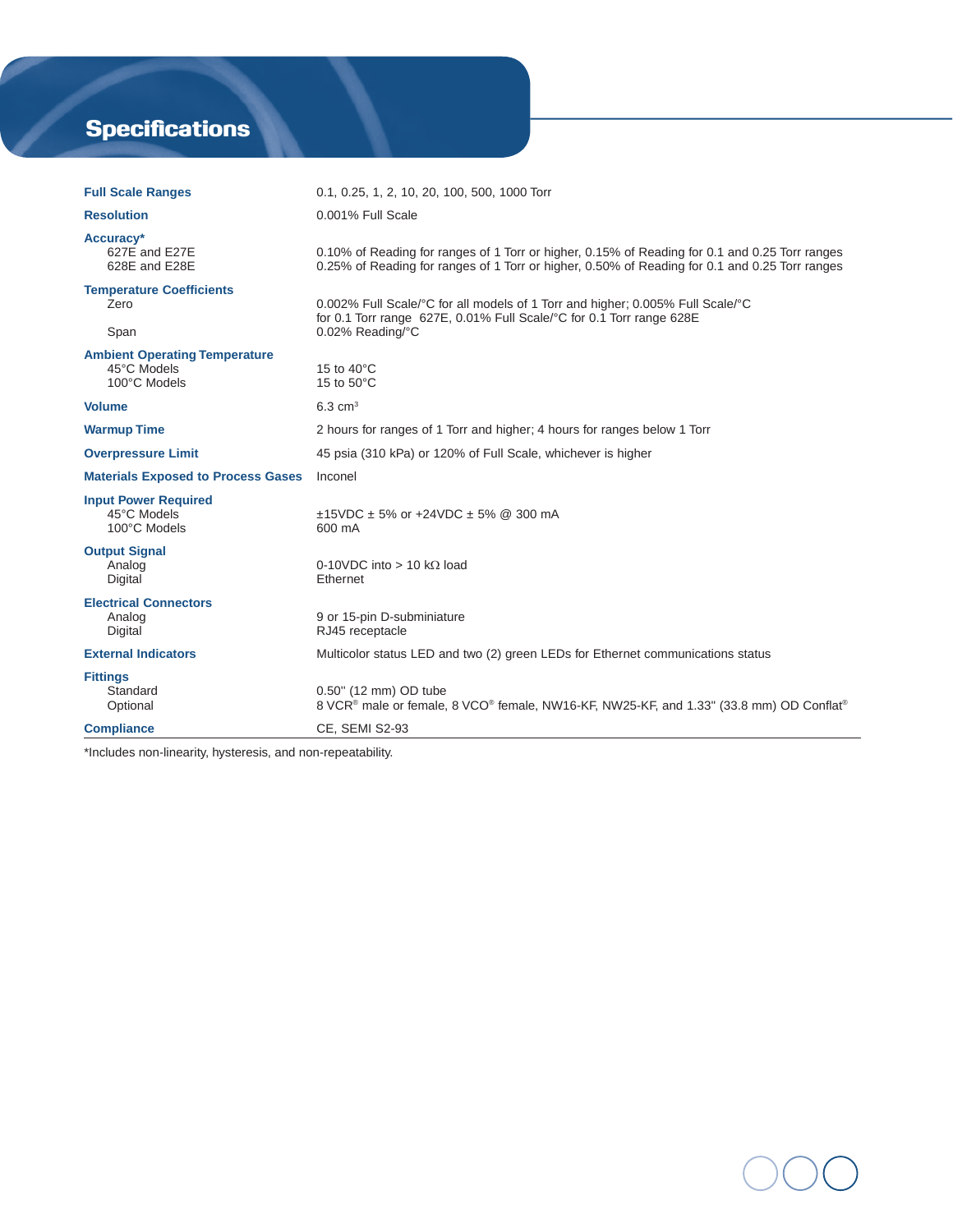# **Specifications**

| <b>Full Scale Ranges</b>                                            | 0.1, 0.25, 1, 2, 10, 20, 100, 500, 1000 Torr                                                                                                                                                     |  |
|---------------------------------------------------------------------|--------------------------------------------------------------------------------------------------------------------------------------------------------------------------------------------------|--|
| <b>Resolution</b>                                                   | 0.001% Full Scale                                                                                                                                                                                |  |
| Accuracy*<br>627E and E27E<br>628E and E28E                         | 0.10% of Reading for ranges of 1 Torr or higher, 0.15% of Reading for 0.1 and 0.25 Torr ranges<br>0.25% of Reading for ranges of 1 Torr or higher, 0.50% of Reading for 0.1 and 0.25 Torr ranges |  |
| <b>Temperature Coefficients</b><br>Zero<br>Span                     | 0.002% Full Scale/°C for all models of 1 Torr and higher; 0.005% Full Scale/°C<br>for 0.1 Torr range 627E, 0.01% Full Scale/°C for 0.1 Torr range 628E<br>0.02% Reading/°C                       |  |
| <b>Ambient Operating Temperature</b><br>45°C Models<br>100°C Models | 15 to 40°C<br>15 to 50°C                                                                                                                                                                         |  |
| <b>Volume</b>                                                       | $6.3 \text{ cm}^3$                                                                                                                                                                               |  |
| <b>Warmup Time</b>                                                  | 2 hours for ranges of 1 Torr and higher; 4 hours for ranges below 1 Torr                                                                                                                         |  |
| <b>Overpressure Limit</b>                                           | 45 psia (310 kPa) or 120% of Full Scale, whichever is higher                                                                                                                                     |  |
| <b>Materials Exposed to Process Gases</b>                           | Inconel                                                                                                                                                                                          |  |
| <b>Input Power Required</b><br>45°C Models<br>100°C Models          | $\pm$ 15VDC $\pm$ 5% or +24VDC $\pm$ 5% @ 300 mA<br>600 mA                                                                                                                                       |  |
| <b>Output Signal</b><br>Analog<br>Digital                           | 0-10VDC into > 10 k $\Omega$ load<br>Ethernet                                                                                                                                                    |  |
| <b>Electrical Connectors</b><br>Analog<br>Digital                   | 9 or 15-pin D-subminiature<br>RJ45 receptacle                                                                                                                                                    |  |
| <b>External Indicators</b>                                          | Multicolor status LED and two (2) green LEDs for Ethernet communications status                                                                                                                  |  |
| <b>Fittings</b><br>Standard<br>Optional                             | 0.50" (12 mm) OD tube<br>8 VCR <sup>®</sup> male or female, 8 VCO® female, NW16-KF, NW25-KF, and 1.33" (33.8 mm) OD Conflat <sup>®</sup>                                                         |  |
| <b>Compliance</b>                                                   | <b>CE, SEMI S2-93</b>                                                                                                                                                                            |  |

\*Includes non-linearity, hysteresis, and non-repeatability.